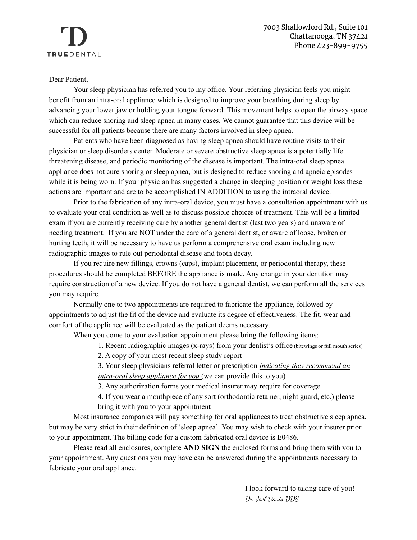### Dear Patient,

Your sleep physician has referred you to my office. Your referring physician feels you might benefit from an intra-oral appliance which is designed to improve your breathing during sleep by advancing your lower jaw or holding your tongue forward. This movement helps to open the airway space which can reduce snoring and sleep apnea in many cases. We cannot guarantee that this device will be successful for all patients because there are many factors involved in sleep apnea.

Patients who have been diagnosed as having sleep apnea should have routine visits to their physician or sleep disorders center. Moderate or severe obstructive sleep apnea is a potentially life threatening disease, and periodic monitoring of the disease is important. The intra-oral sleep apnea appliance does not cure snoring or sleep apnea, but is designed to reduce snoring and apneic episodes while it is being worn. If your physician has suggested a change in sleeping position or weight loss these actions are important and are to be accomplished IN ADDITION to using the intraoral device.

Prior to the fabrication of any intra-oral device, you must have a consultation appointment with us to evaluate your oral condition as well as to discuss possible choices of treatment. This will be a limited exam if you are currently receiving care by another general dentist (last two years) and unaware of needing treatment. If you are NOT under the care of a general dentist, or aware of loose, broken or hurting teeth, it will be necessary to have us perform a comprehensive oral exam including new radiographic images to rule out periodontal disease and tooth decay.

If you require new fillings, crowns (caps), implant placement, or periodontal therapy, these procedures should be completed BEFORE the appliance is made. Any change in your dentition may require construction of a new device. If you do not have a general dentist, we can perform all the services you may require.

Normally one to two appointments are required to fabricate the appliance, followed by appointments to adjust the fit of the device and evaluate its degree of effectiveness. The fit, wear and comfort of the appliance will be evaluated as the patient deems necessary.

When you come to your evaluation appointment please bring the following items:

1. Recent radiographic images (x-rays) from your dentist's office (bitewings or full mouth series)

2. A copy of your most recent sleep study report

3. Your sleep physicians referral letter or prescription *indicating they recommend an intra-oral sleep appliance for you* (we can provide this to you)

3. Any authorization forms your medical insurer may require for coverage

4. If you wear a mouthpiece of any sort (orthodontic retainer, night guard, etc.) please bring it with you to your appointment

Most insurance companies will pay something for oral appliances to treat obstructive sleep apnea, but may be very strict in their definition of 'sleep apnea'. You may wish to check with your insurer prior to your appointment. The billing code for a custom fabricated oral device is E0486.

Please read all enclosures, complete **AND SIGN** the enclosed forms and bring them with you to your appointment. Any questions you may have can be answered during the appointments necessary to fabricate your oral appliance.

> I look forward to taking care of you! Dr. Joel Davis DDS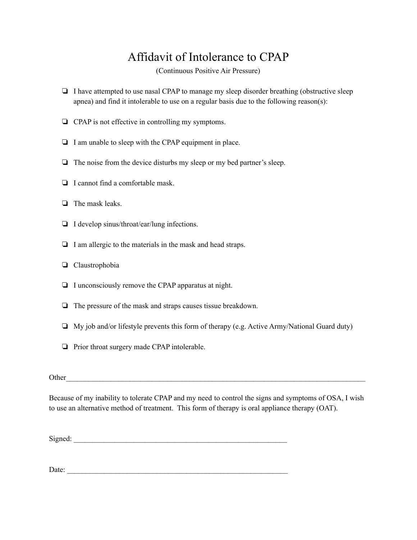# Affidavit of Intolerance to CPAP

(Continuous Positive Air Pressure)

- ❏ I have attempted to use nasal CPAP to manage my sleep disorder breathing (obstructive sleep apnea) and find it intolerable to use on a regular basis due to the following reason(s):
- ❏ CPAP is not effective in controlling my symptoms.
- ❏ I am unable to sleep with the CPAP equipment in place.
- ❏ The noise from the device disturbs my sleep or my bed partner's sleep.
- ❏ I cannot find a comfortable mask.
- ❏ The mask leaks.
- ❏ I develop sinus/throat/ear/lung infections.
- ❏ I am allergic to the materials in the mask and head straps.
- ❏ Claustrophobia
- ❏ I unconsciously remove the CPAP apparatus at night.
- ❏ The pressure of the mask and straps causes tissue breakdown.
- ❏ My job and/or lifestyle prevents this form of therapy (e.g. Active Army/National Guard duty)
- ❏ Prior throat surgery made CPAP intolerable.

#### Other

Because of my inability to tolerate CPAP and my need to control the signs and symptoms of OSA, I wish to use an alternative method of treatment. This form of therapy is oral appliance therapy (OAT).

 $Signed:$ 

Date: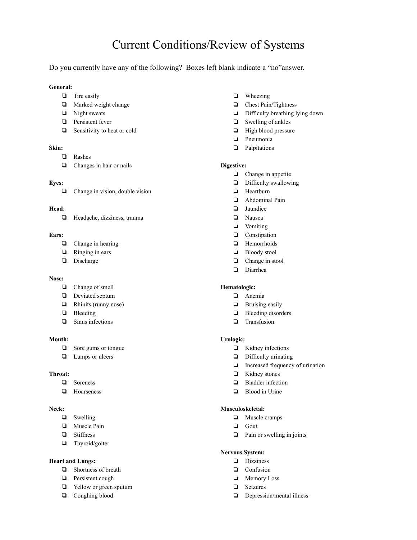## Current Conditions/Review of Systems

Do you currently have any of the following? Boxes left blank indicate a "no"answer.

#### **General:**

- ❏ Tire easily
- ❏ Marked weight change
- ❏ Night sweats
- ❏ Persistent fever
- ❏ Sensitivity to heat or cold

#### **Skin:**

- ❏ Rashes
- ❏ Changes in hair or nails

#### **Eyes:**

❏ Change in vision, double vision

#### **Head**:

❏ Headache, dizziness, trauma

#### **Ears:**

- ❏ Change in hearing
- ❏ Ringing in ears
- ❏ Discharge

#### **Nose:**

- ❏ Change of smell
- ❏ Deviated septum
- ❏ Rhinits (runny nose)
- ❏ Bleeding
- ❏ Sinus infections

#### **Mouth:**

- ❏ Sore gums or tongue
- ❏ Lumps or ulcers

#### **Throat:**

- ❏ Soreness
- ❏ Hoarseness

#### **Neck:**

- ❏ Swelling
- ❏ Muscle Pain
- ❏ Stiffness
- ❏ Thyroid/goiter

#### **Heart and Lungs:**

- ❏ Shortness of breath
- ❏ Persistent cough
- ❏ Yellow or green sputum
- ❏ Coughing blood
- ❏ Wheezing
- ❏ Chest Pain/Tightness
- ❏ Difficulty breathing lying down
- ❏ Swelling of ankles
- ❏ High blood pressure
- ❏ Pneumonia
- ❏ Palpitations

#### **Digestive:**

- ❏ Change in appetite
- ❏ Difficulty swallowing
- ❏ Heartburn
- ❏ Abdominal Pain
- ❏ Jaundice
- ❏ Nausea
- ❏ Vomiting
- ❏ Constipation
- ❏ Hemorrhoids
- ❏ Bloody stool
- ❏ Change in stool
- ❏ Diarrhea

#### **Hematologic:**

- ❏ Anemia
- ❏ Bruising easily
- ❏ Bleeding disorders
- ❏ Transfusion

#### **Urologic:**

- ❏ Kidney infections
- ❏ Difficulty urinating
- ❏ Increased frequency of urination
- ❏ Kidney stones
- ❏ Bladder infection
- ❏ Blood in Urine

#### **Musculoskeletal:**

- ❏ Muscle cramps
- ❏ Gout
- ❏ Pain or swelling in joints

#### **Nervous System:**

- ❏ Dizziness
- ❏ Confusion
- ❏ Memory Loss
- ❏ Seizures
- ❏ Depression/mental illness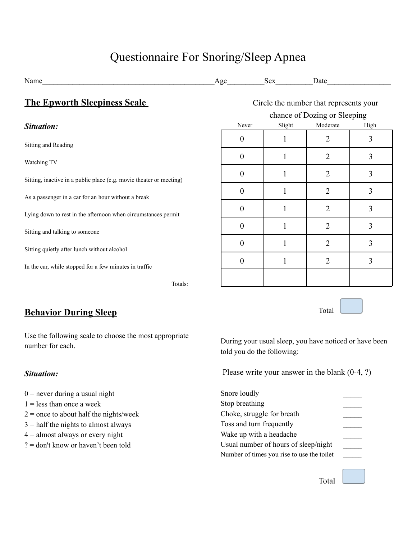# Questionnaire For Snoring/Sleep Apnea

| Name                                                                | Age                                    |                              | Sex    | Date           |      |
|---------------------------------------------------------------------|----------------------------------------|------------------------------|--------|----------------|------|
| <b>The Epworth Sleepiness Scale</b>                                 | Circle the number that represents your |                              |        |                |      |
|                                                                     |                                        | chance of Dozing or Sleeping |        |                |      |
| Situation:                                                          |                                        | Never                        | Slight | Moderate       | High |
| Sitting and Reading                                                 | 0                                      |                              |        | 2              | 3    |
| Watching TV                                                         | $\boldsymbol{0}$                       |                              |        | $\overline{2}$ | 3    |
| Sitting, inactive in a public place (e.g. movie theater or meeting) | $\boldsymbol{0}$                       |                              |        | $\overline{2}$ | 3    |
| As a passenger in a car for an hour without a break                 | $\boldsymbol{0}$                       |                              | 1      | $\overline{2}$ | 3    |
| Lying down to rest in the afternoon when circumstances permit       | $\boldsymbol{0}$                       |                              | 1      | $\overline{2}$ | 3    |
| Sitting and talking to someone                                      | $\boldsymbol{0}$                       |                              | 1      | $\overline{2}$ | 3    |
| Sitting quietly after lunch without alcohol                         | $\boldsymbol{0}$                       |                              | 1      | $\overline{2}$ | 3    |
|                                                                     | $\boldsymbol{0}$                       |                              | 1      | $\overline{2}$ | 3    |
| In the car, while stopped for a few minutes in traffic<br>Totals:   |                                        |                              |        |                |      |

### **Behavior During Sleep**

Use the following scale to choose the most appropriate number for each.

### *Situation:*

- $0$  = never during a usual night
- $1 =$  less than once a week
- $2$  = once to about half the nights/week
- $3$  = half the nights to almost always
- $4 =$  almost always or every night
- ? = don't know or haven't been told

During your usual sleep, you have noticed or have been told you do the following:

Please write your answer in the blank (0-4, ?)

| Snore loudly                               |  |
|--------------------------------------------|--|
| Stop breathing                             |  |
| Choke, struggle for breath                 |  |
| Toss and turn frequently                   |  |
| Wake up with a headache                    |  |
| Usual number of hours of sleep/night       |  |
| Number of times you rise to use the toilet |  |
|                                            |  |
|                                            |  |

Total

Total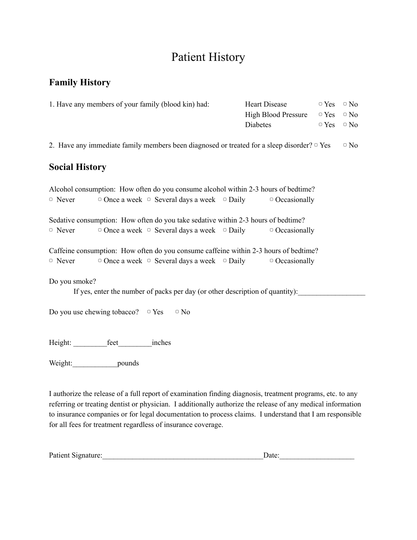# Patient History

### **Family History**

| 1. Have any members of your family (blood kin) had:                                              | <b>Heart Disease</b>       |             | $\circ$ No |
|--------------------------------------------------------------------------------------------------|----------------------------|-------------|------------|
|                                                                                                  | <b>High Blood Pressure</b> | $\Box$ Yes  | $\circ$ No |
|                                                                                                  | Diabetes                   | $\circ$ Yes | $\circ$ No |
| 2. Have any immediate family members been diagnosed or treated for a sleep disorder? $\circ$ Yes |                            |             | $\circ$ No |
| <b>Social History</b>                                                                            |                            |             |            |
| Alcohol consumption: How often do you consume alcohol within 2-3 hours of bedtime?               |                            |             |            |
| $\circ$ Once a week $\circ$ Several days a week $\circ$ Daily<br>$\Box$ Never                    | $\circ$ Occasionally       |             |            |
| Sedative consumption: How often do you take sedative within 2-3 hours of bedtime?                |                            |             |            |
| $\circ$ Once a week $\circ$ Several days a week $\circ$ Daily<br>$\circ$ Never                   | $\circ$ Occasionally       |             |            |
| Caffeine consumption: How often do you consume caffeine within 2-3 hours of bedtime?             |                            |             |            |
| $\circ$ Once a week $\circ$ Several days a week $\circ$ Daily<br>$\circ$ Never                   | $\circ$ Occasionally       |             |            |
| Do you smoke?                                                                                    |                            |             |            |
| If yes, enter the number of packs per day (or other description of quantity):                    |                            |             |            |
| Do you use chewing tobacco? $\Box$ Yes<br>$\circ$ No                                             |                            |             |            |
| Height:<br>feet<br>inches                                                                        |                            |             |            |

Weight:\_\_\_\_\_\_\_\_\_\_\_\_\_\_pounds

I authorize the release of a full report of examination finding diagnosis, treatment programs, etc. to any referring or treating dentist or physician. I additionally authorize the release of any medical information to insurance companies or for legal documentation to process claims. I understand that I am responsible for all fees for treatment regardless of insurance coverage.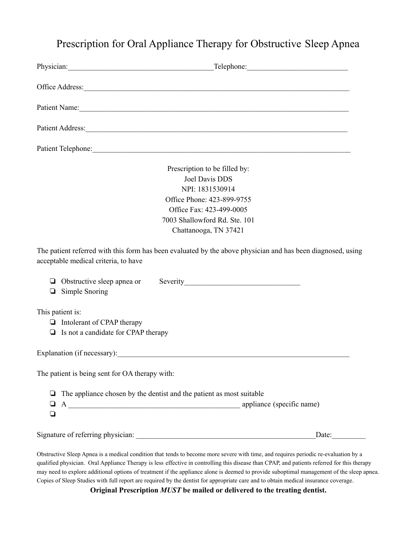### Prescription for Oral Appliance Therapy for Obstructive Sleep Apnea

|        | Physician: Telephone: Telephone: Telephone:                                                                                                         |                       |  |  |
|--------|-----------------------------------------------------------------------------------------------------------------------------------------------------|-----------------------|--|--|
|        |                                                                                                                                                     |                       |  |  |
|        | Patient Name:                                                                                                                                       |                       |  |  |
|        |                                                                                                                                                     |                       |  |  |
|        | Patient Telephone:                                                                                                                                  |                       |  |  |
|        | Prescription to be filled by:<br><b>Joel Davis DDS</b><br>NPI: 1831530914                                                                           |                       |  |  |
|        | Office Phone: 423-899-9755                                                                                                                          |                       |  |  |
|        | Office Fax: 423-499-0005                                                                                                                            |                       |  |  |
|        | 7003 Shallowford Rd. Ste. 101                                                                                                                       |                       |  |  |
|        | Chattanooga, TN 37421                                                                                                                               |                       |  |  |
|        | The patient referred with this form has been evaluated by the above physician and has been diagnosed, using<br>acceptable medical criteria, to have |                       |  |  |
|        | $\Box$ Simple Snoring                                                                                                                               |                       |  |  |
|        | This patient is:<br>$\Box$ Intolerant of CPAP therapy<br>$\Box$ Is not a candidate for CPAP therapy                                                 |                       |  |  |
|        |                                                                                                                                                     |                       |  |  |
|        | The patient is being sent for OA therapy with:                                                                                                      |                       |  |  |
| ❏<br>❏ | The appliance chosen by the dentist and the patient as most suitable                                                                                |                       |  |  |
|        |                                                                                                                                                     | Date: $\qquad \qquad$ |  |  |

Obstructive Sleep Apnea is a medical condition that tends to become more severe with time, and requires periodic re-evaluation by a qualified physician. Oral Appliance Therapy is less effective in controlling this disease than CPAP, and patients referred for this therapy may need to explore additional options of treatment if the appliance alone is deemed to provide suboptimal management of the sleep apnea. Copies of Sleep Studies with full report are required by the dentist for appropriate care and to obtain medical insurance coverage.

**Original Prescription** *MUST* **be mailed or delivered to the treating dentist.**